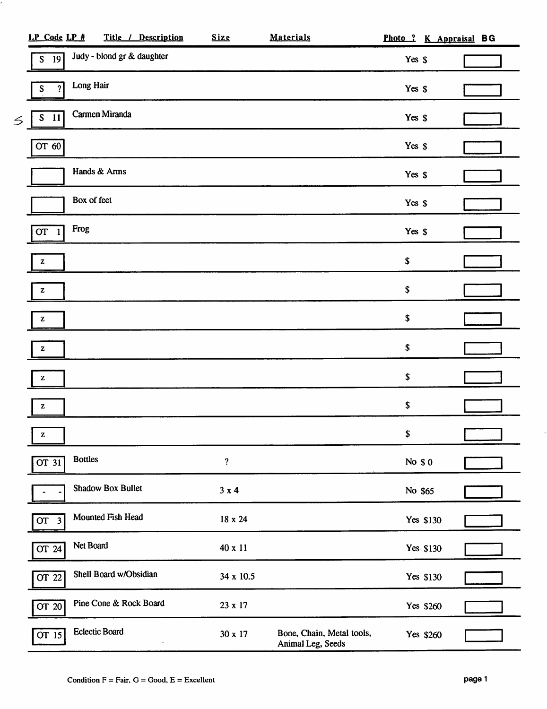|   | LP Code LP #               | Title / Description        | Size                       | <b>Materials</b>                               | Photo ? K Appraisal BG |  |  |
|---|----------------------------|----------------------------|----------------------------|------------------------------------------------|------------------------|--|--|
|   | $S$ 19                     | Judy - blond gr & daughter |                            |                                                | Yes \$                 |  |  |
|   | ?<br>S                     | Long Hair                  |                            |                                                | Yes \$                 |  |  |
| S | ${\mathbb S}$<br><b>11</b> | Carmen Miranda             |                            |                                                | Yes \$                 |  |  |
|   | OT 60                      |                            |                            |                                                | Yes \$                 |  |  |
|   |                            | Hands & Arms               |                            |                                                | Yes \$                 |  |  |
|   |                            | Box of feet                |                            |                                                | Yes \$                 |  |  |
|   | OT                         | Frog                       |                            |                                                | Yes \$                 |  |  |
|   | z                          |                            |                            |                                                | \$                     |  |  |
|   | Z                          |                            |                            |                                                | \$                     |  |  |
|   | z                          |                            |                            |                                                | $\$$                   |  |  |
|   | z                          |                            |                            |                                                | $\pmb{\mathbb{S}}$     |  |  |
|   | z                          |                            |                            |                                                | $\pmb{\mathbb{S}}$     |  |  |
|   | z                          |                            |                            |                                                | $\pmb{\mathbb{S}}$     |  |  |
|   | z                          |                            |                            |                                                | $\pmb{\mathbb{S}}$     |  |  |
|   | $\overline{OT\ 31}$        | <b>Bottles</b>             | $\boldsymbol{\mathcal{P}}$ |                                                | No \$0                 |  |  |
|   |                            | <b>Shadow Box Bullet</b>   | $3 \times 4$               |                                                | No \$65                |  |  |
|   | OT <sub>3</sub>            | Mounted Fish Head          | 18 x 24                    |                                                | Yes \$130              |  |  |
|   | $\overline{OT}$ 24         | Net Board                  | 40 x 11                    |                                                | Yes \$130              |  |  |
|   | OT 22                      | Shell Board w/Obsidian     | 34 x 10.5                  |                                                | Yes \$130              |  |  |
|   | OT 20                      | Pine Cone & Rock Board     | 23 x 17                    |                                                | Yes \$260              |  |  |
|   | $\overline{OT}$ 15         | Eclectic Board             | 30 x 17                    | Bone, Chain, Metal tools,<br>Animal Leg, Seeds | Yes \$260              |  |  |

 $\hat{\mathcal{A}}$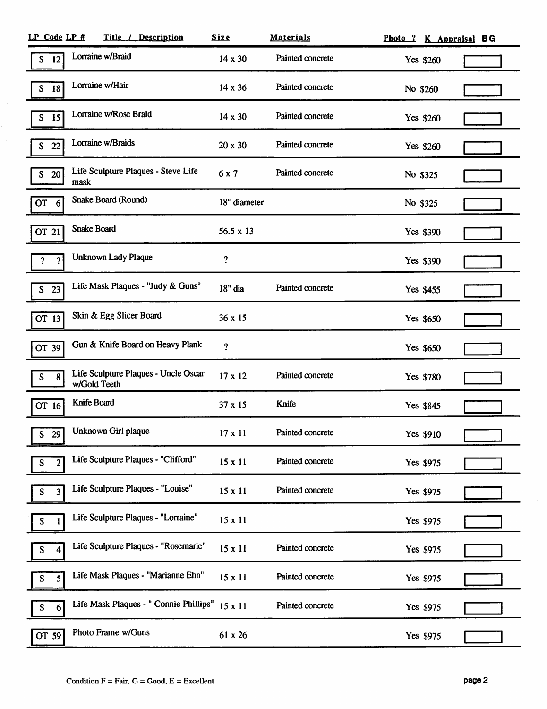| LP Code LP #        | Title / Description                                  | <b>Size</b>    | <b>Materials</b> |           | Photo ? K Appraisal BG |
|---------------------|------------------------------------------------------|----------------|------------------|-----------|------------------------|
| 12<br>S             | Lorraine w/Braid                                     | $14 \times 30$ | Painted concrete | Yes \$260 |                        |
| ${\mathbb S}$<br>18 | Lorraine w/Hair                                      | 14 x 36        | Painted concrete | No \$260  |                        |
| 15<br>S             | Lorraine w/Rose Braid                                | $14 \times 30$ | Painted concrete | Yes \$260 |                        |
| 22<br>S             | Lorraine w/Braids                                    | 20 x 30        | Painted concrete | Yes \$260 |                        |
| 20<br>S             | Life Sculpture Plaques - Steve Life<br>mask          | 6x7            | Painted concrete | No \$325  |                        |
| OT <sub>6</sub>     | Snake Board (Round)                                  | 18" diameter   |                  | No \$325  |                        |
| OT 21               | <b>Snake Board</b>                                   | 56.5 x 13      |                  | Yes \$390 |                        |
| 2                   | <b>Unknown Lady Plaque</b>                           | ?              |                  | Yes \$390 |                        |
| 23<br>S             | Life Mask Plaques - "Judy & Guns"                    | 18" dia        | Painted concrete | Yes \$455 |                        |
| OT 13               | Skin & Egg Slicer Board                              | 36 x 15        |                  | Yes \$650 |                        |
| OT 39               | Gun & Knife Board on Heavy Plank                     | ?              |                  | Yes \$650 |                        |
| 8<br>S              | Life Sculpture Plaques - Uncle Oscar<br>w/Gold Teeth | 17 x 12        | Painted concrete | Yes \$780 |                        |
| OT 16               | Knife Board                                          | 37 x 15        | Knife            | Yes \$845 |                        |
| $S_{\perp}$<br>29   | Unknown Girl plaque                                  | $17 \times 11$ | Painted concrete | Yes \$910 |                        |
| $\mathbf{2}$        | Life Sculpture Plaques - "Clifford"                  | $15 \times 11$ | Painted concrete | Yes \$975 |                        |
| 3<br>S              | Life Sculpture Plaques - "Louise"                    | 15 x 11        | Painted concrete | Yes \$975 |                        |
| S                   | Life Sculpture Plaques - "Lorraine"                  | 15 x 11        |                  | Yes \$975 |                        |
| 4                   | Life Sculpture Plaques - "Rosemarie"                 | 15 x 11        | Painted concrete | Yes \$975 |                        |
| 5                   | Life Mask Plaques - "Marianne Ehn"                   | 15 x 11        | Painted concrete | Yes \$975 |                        |
| $\boldsymbol{6}$    | Life Mask Plaques - " Connie Phillips"               | 15 x 11        | Painted concrete | Yes \$975 |                        |
| OT 59               | Photo Frame w/Guns                                   | 61 x 26        |                  | Yes \$975 |                        |

 $\langle \rangle$